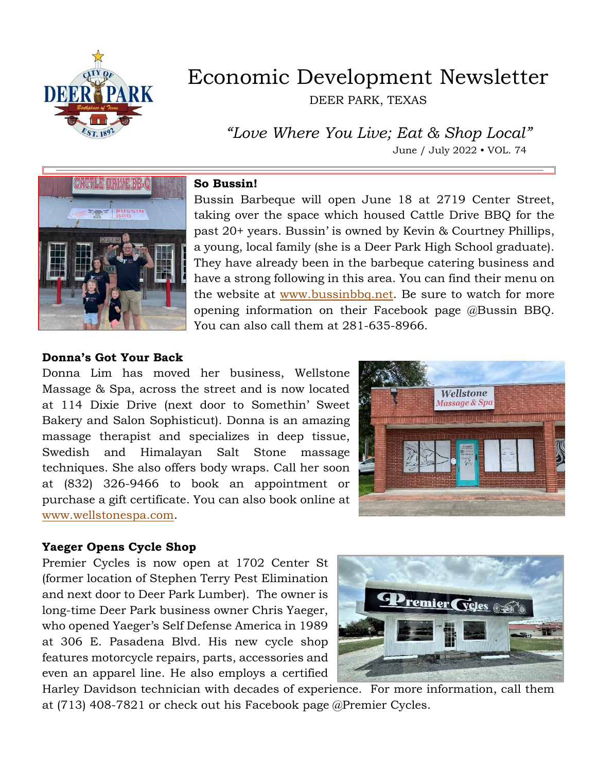

# Economic Development Newsletter

DEER PARK, TEXAS

 *"Love Where You Live; Eat & Shop Local"* June / July 2022 • VOL. 74



#### **So Bussin!**

Bussin Barbeque will open June 18 at 2719 Center Street, taking over the space which housed Cattle Drive BBQ for the past 20+ years. Bussin' is owned by Kevin & Courtney Phillips, a young, local family (she is a Deer Park High School graduate). They have already been in the barbeque catering business and have a strong following in this area. You can find their menu on the website at [www.bussinbbq.net.](http://www.bussinbbq.net/) Be sure to watch for more opening information on their Facebook page @Bussin BBQ. You can also call them at 281-635-8966.

#### **Donna's Got Your Back**

Donna Lim has moved her business, Wellstone Massage & Spa, across the street and is now located at 114 Dixie Drive (next door to Somethin' Sweet Bakery and Salon Sophisticut). Donna is an amazing massage therapist and specializes in deep tissue, Swedish and Himalayan Salt Stone massage techniques. She also offers body wraps. Call her soon at (832) 326-9466 to book an appointment or purchase a gift certificate. You can also book online at [www.wellstonespa.com.](http://www.wellstonespa.com/)



#### **Yaeger Opens Cycle Shop**

Premier Cycles is now open at 1702 Center St (former location of Stephen Terry Pest Elimination and next door to Deer Park Lumber). The owner is long-time Deer Park business owner Chris Yaeger, who opened Yaeger's Self Defense America in 1989 at 306 E. Pasadena Blvd. His new cycle shop features motorcycle repairs, parts, accessories and even an apparel line. He also employs a certified



Harley Davidson technician with decades of experience. For more information, call them at (713) 408-7821 or check out his Facebook page @Premier Cycles.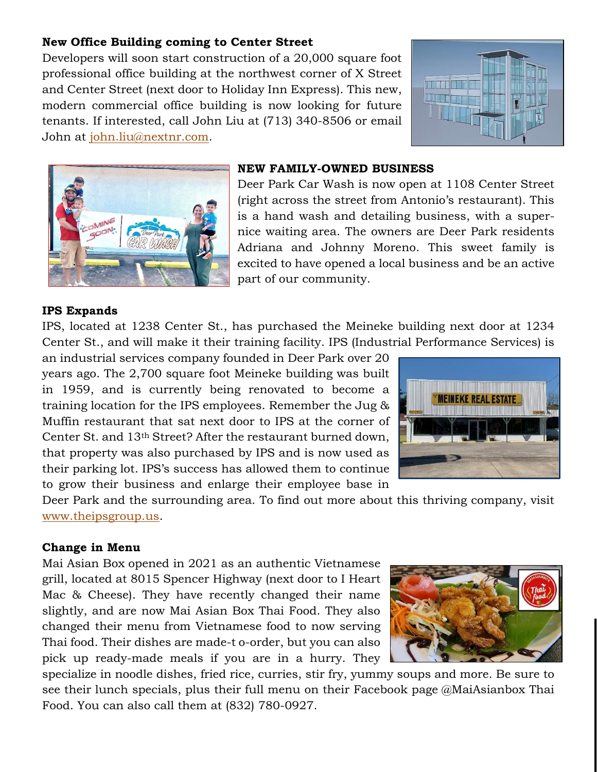# **New Office Building coming to Center Street**

Developers will soon start construction of a 20,000 square foot professional office building at the northwest corner of X Street and Center Street (next door to Holiday Inn Express). This new, modern commercial office building is now looking for future tenants. If interested, call John Liu at (713) 340-8506 or email John at [john.liu@nextnr.com.](mailto:john.liu@nextnr.com)





#### **NEW FAMILY-OWNED BUSINESS**

Deer Park Car Wash is now open at 1108 Center Street (right across the street from Antonio's restaurant). This is a hand wash and detailing business, with a supernice waiting area. The owners are Deer Park residents Adriana and Johnny Moreno. This sweet family is excited to have opened a local business and be an active part of our community.

## **IPS Expands**

IPS, located at 1238 Center St., has purchased the Meineke building next door at 1234 Center St., and will make it their training facility. IPS (Industrial Performance Services) is

an industrial services company founded in Deer Park over 20 years ago. The 2,700 square foot Meineke building was built in 1959, and is currently being renovated to become a training location for the IPS employees. Remember the Jug & Muffin restaurant that sat next door to IPS at the corner of Center St. and 13th Street? After the restaurant burned down, that property was also purchased by IPS and is now used as their parking lot. IPS's success has allowed them to continue to grow their business and enlarge their employee base in



Deer Park and the surrounding area. To find out more about this thriving company, visit [www.theipsgroup.us.](http://www.theipsgroup.us/)

#### **Change in Menu**

Mai Asian Box opened in 2021 as an authentic Vietnamese grill, located at 8015 Spencer Highway (next door to I Heart Mac & Cheese). They have recently changed their name slightly, and are now Mai Asian Box Thai Food. They also changed their menu from Vietnamese food to now serving Thai food. Their dishes are made-t o-order, but you can also pick up ready-made meals if you are in a hurry. They

specialize in noodle dishes, fried rice, curries, stir fry, yummy soups and more. Be sure to see their lunch specials, plus their full menu on their Facebook page @MaiAsianbox Thai Food. You can also call them at (832) 780-0927.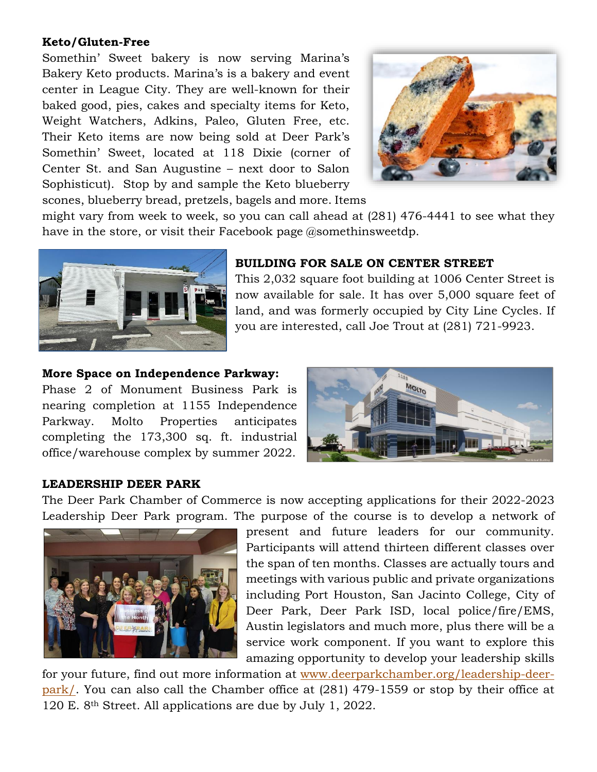## **Keto/Gluten-Free**

Somethin' Sweet bakery is now serving Marina's Bakery Keto products. Marina's is a bakery and event center in League City. They are well-known for their baked good, pies, cakes and specialty items for Keto, Weight Watchers, Adkins, Paleo, Gluten Free, etc. Their Keto items are now being sold at Deer Park's Somethin' Sweet, located at 118 Dixie (corner of Center St. and San Augustine – next door to Salon Sophisticut). Stop by and sample the Keto blueberry scones, blueberry bread, pretzels, bagels and more. Items



might vary from week to week, so you can call ahead at (281) 476-4441 to see what they have in the store, or visit their Facebook page @somethinsweetdp.



# **BUILDING FOR SALE ON CENTER STREET**

This 2,032 square foot building at 1006 Center Street is now available for sale. It has over 5,000 square feet of land, and was formerly occupied by City Line Cycles. If you are interested, call Joe Trout at (281) 721-9923.

## **More Space on Independence Parkway:**

Phase 2 of Monument Business Park is nearing completion at 1155 Independence Parkway. Molto Properties anticipates completing the 173,300 sq. ft. industrial office/warehouse complex by summer 2022.



# **LEADERSHIP DEER PARK**

The Deer Park Chamber of Commerce is now accepting applications for their 2022-2023 Leadership Deer Park program. The purpose of the course is to develop a network of



present and future leaders for our community. Participants will attend thirteen different classes over the span of ten months. Classes are actually tours and meetings with various public and private organizations including Port Houston, San Jacinto College, City of Deer Park, Deer Park ISD, local police/fire/EMS, Austin legislators and much more, plus there will be a service work component. If you want to explore this amazing opportunity to develop your leadership skills

for your future, find out more information at [www.deerparkchamber.org/leadership-deer](http://www.deerparkchamber.org/leadership-deer-park/)[park/.](http://www.deerparkchamber.org/leadership-deer-park/) You can also call the Chamber office at (281) 479-1559 or stop by their office at 120 E. 8th Street. All applications are due by July 1, 2022.